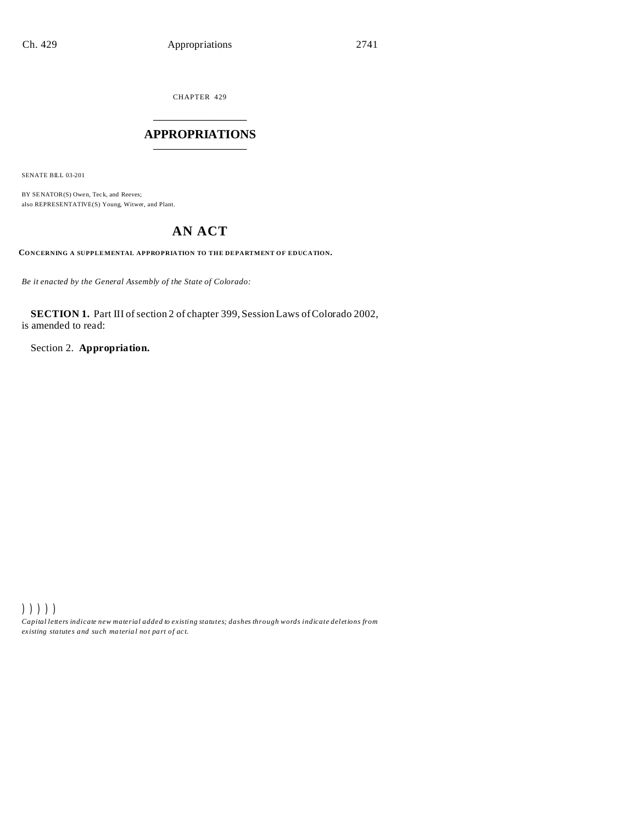CHAPTER 429 \_\_\_\_\_\_\_\_\_\_\_\_\_\_\_

# **APPROPRIATIONS** \_\_\_\_\_\_\_\_\_\_\_\_\_\_\_

SENATE BILL 03-201

BY SENATOR(S) Owen, Teck, and Reeves; also REPRESENTATIVE(S) Young, Witwer, and Plant.

# **AN ACT**

**CONCERNING A SUPPLEMENTAL APPROPRIATION TO THE DEPARTMENT OF EDUCATION.**

*Be it enacted by the General Assembly of the State of Colorado:*

**SECTION 1.** Part III of section 2 of chapter 399, Session Laws of Colorado 2002, is amended to read:

Section 2. **Appropriation.**

))))) *Capital letters indicate new material added to existing statutes; dashes through words indicate deletions from ex isting statute s and such ma teria l no t pa rt of ac t.*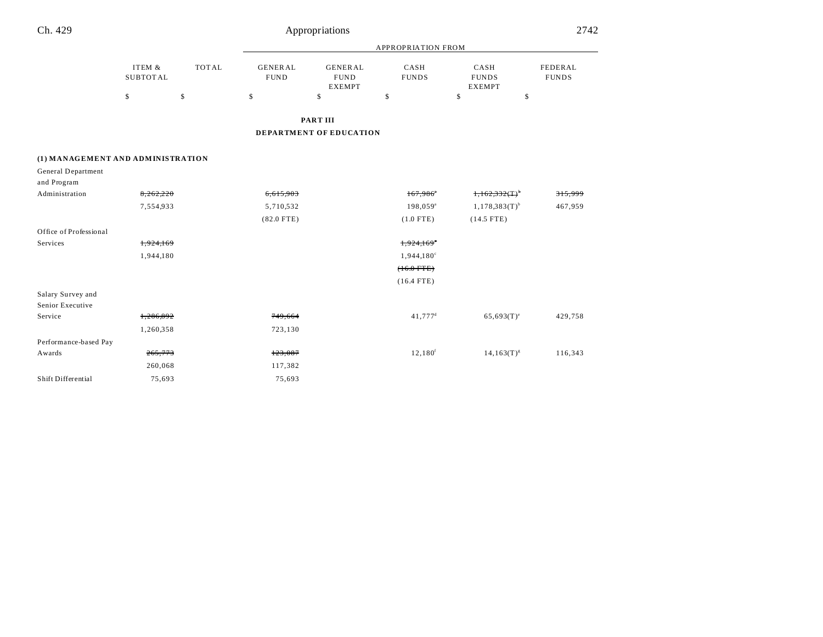| Ch. 429                           | Appropriations            |              |                               |                                                |                       |                                       |                         |
|-----------------------------------|---------------------------|--------------|-------------------------------|------------------------------------------------|-----------------------|---------------------------------------|-------------------------|
|                                   |                           |              | <b>APPROPRIATION FROM</b>     |                                                |                       |                                       |                         |
|                                   | ITEM &<br><b>SUBTOTAL</b> | <b>TOTAL</b> | <b>GENERAL</b><br><b>FUND</b> | <b>GENERAL</b><br><b>FUND</b><br><b>EXEMPT</b> | CASH<br><b>FUNDS</b>  | CASH<br><b>FUNDS</b><br><b>EXEMPT</b> | FEDERAL<br><b>FUNDS</b> |
|                                   | \$                        | \$           | \$                            | \$                                             | \$                    | \$<br>\$                              |                         |
|                                   |                           |              |                               | <b>PARTIII</b>                                 |                       |                                       |                         |
|                                   |                           |              |                               | <b>DEPARTMENT OF EDUCATION</b>                 |                       |                                       |                         |
| (1) MANAGEMENT AND ADMINISTRATION |                           |              |                               |                                                |                       |                                       |                         |
| General Department                |                           |              |                               |                                                |                       |                                       |                         |
| and Program                       |                           |              |                               |                                                |                       |                                       |                         |
| Administration                    | 8,262,220                 |              | 6,615,903                     |                                                | 167,986               | $1,162,332($ T) <sup>.</sup>          | 315,999                 |
|                                   | 7,554,933                 |              | 5,710,532                     |                                                | 198,059 <sup>ª</sup>  | $1,178,383(T)$ <sup>b</sup>           | 467,959                 |
|                                   |                           |              | $(82.0$ FTE)                  |                                                | $(1.0$ FTE)           | $(14.5$ FTE)                          |                         |
| Office of Professional            |                           |              |                               |                                                |                       |                                       |                         |
| Services                          | 1,924,169                 |              |                               |                                                | 1,924,169             |                                       |                         |
|                                   | 1,944,180                 |              |                               |                                                | 1,944,180°            |                                       |                         |
|                                   |                           |              |                               |                                                | $(16.0$ FTE)          |                                       |                         |
|                                   |                           |              |                               |                                                | $(16.4$ FTE)          |                                       |                         |
| Salary Survey and                 |                           |              |                               |                                                |                       |                                       |                         |
| Senior Executive                  |                           |              |                               |                                                |                       |                                       |                         |
| Service                           | 1,286,892                 |              | 749,664                       |                                                | $41,777$ <sup>d</sup> | $65,693(T)$ <sup>e</sup>              | 429,758                 |
|                                   | 1,260,358                 |              | 723,130                       |                                                |                       |                                       |                         |
| Performance-based Pay             |                           |              |                               |                                                |                       |                                       |                         |
| Awards                            | 265,773                   |              | 123,087                       |                                                | 12,180 <sup>f</sup>   | $14, 163(T)^{s}$                      | 116,343                 |
|                                   | 260,068                   |              | 117,382                       |                                                |                       |                                       |                         |
| Shift Differential                | 75,693                    |              | 75,693                        |                                                |                       |                                       |                         |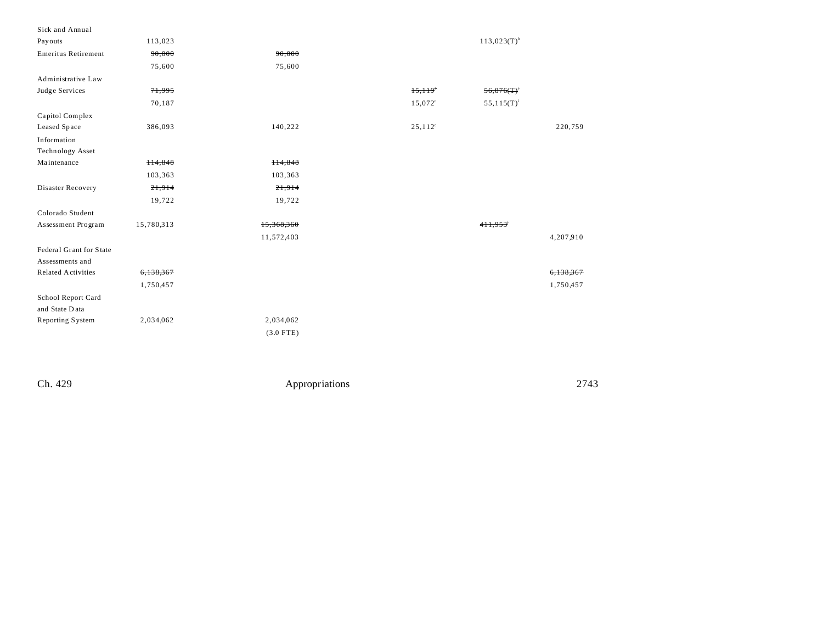| Sick and Annual            |            |             |                  |                           |           |
|----------------------------|------------|-------------|------------------|---------------------------|-----------|
| Pay outs                   | 113,023    |             |                  | $113,023(T)$ <sup>h</sup> |           |
| <b>Emeritus Retirement</b> | 90,000     | 90,000      |                  |                           |           |
|                            | 75,600     | 75,600      |                  |                           |           |
| Administrative Law         |            |             |                  |                           |           |
| Judge Services             | 71,995     |             | 15,119           | 56,876(T)                 |           |
|                            | 70,187     |             | $15,072^{\circ}$ | $55,115(T)^{i}$           |           |
| Capitol Complex            |            |             |                  |                           |           |
| Leased Space               | 386,093    | 140,222     | $25,112^{\circ}$ |                           | 220,759   |
| Information                |            |             |                  |                           |           |
| Technology Asset           |            |             |                  |                           |           |
| Maintenance                | H4,848     | 114,848     |                  |                           |           |
|                            | 103,363    | 103,363     |                  |                           |           |
| Disaster Recovery          | 21,914     | 21,914      |                  |                           |           |
|                            | 19,722     | 19,722      |                  |                           |           |
| Colorado Student           |            |             |                  |                           |           |
| Assessment Program         | 15,780,313 | 15,368,360  |                  | 411,953 <sup>'</sup>      |           |
|                            |            | 11,572,403  |                  |                           | 4,207,910 |
| Federal Grant for State    |            |             |                  |                           |           |
| Assessments and            |            |             |                  |                           |           |
| <b>Related Activities</b>  | 6,138,367  |             |                  |                           | 6,138,367 |
|                            | 1,750,457  |             |                  |                           | 1,750,457 |
| School Report Card         |            |             |                  |                           |           |
| and State Data             |            |             |                  |                           |           |
| Reporting System           | 2,034,062  | 2,034,062   |                  |                           |           |
|                            |            | $(3.0$ FTE) |                  |                           |           |
|                            |            |             |                  |                           |           |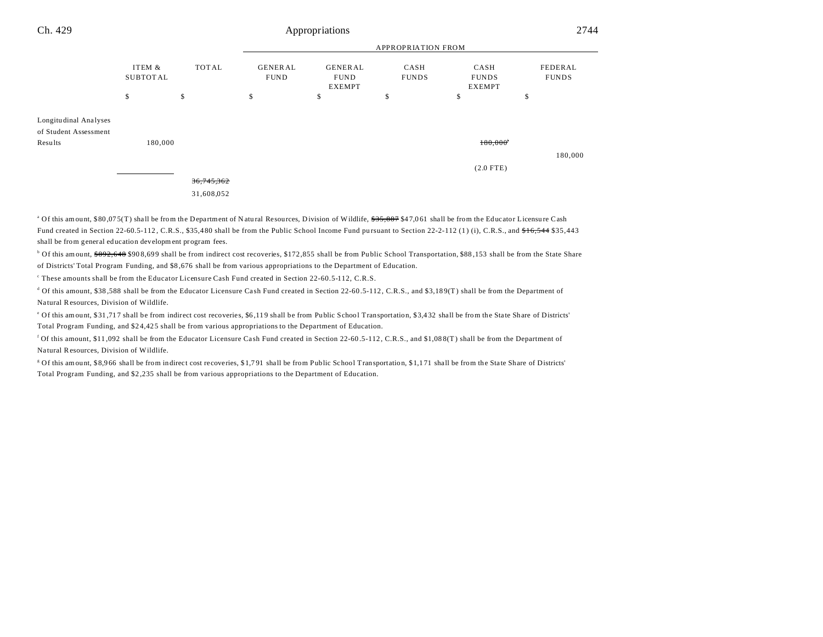| Ch. 429                                                   | Appropriations            |              |                               |                                                |                      |                                       | 2744                    |
|-----------------------------------------------------------|---------------------------|--------------|-------------------------------|------------------------------------------------|----------------------|---------------------------------------|-------------------------|
|                                                           |                           |              | <b>APPROPRIATION FROM</b>     |                                                |                      |                                       |                         |
|                                                           | ITEM &<br><b>SUBTOTAL</b> | <b>TOTAL</b> | <b>GENERAL</b><br><b>FUND</b> | <b>GENERAL</b><br><b>FUND</b><br><b>EXEMPT</b> | CASH<br><b>FUNDS</b> | CASH<br><b>FUNDS</b><br><b>EXEMPT</b> | FEDERAL<br><b>FUNDS</b> |
|                                                           | \$                        | \$           | \$                            | \$                                             | \$                   | \$                                    | \$                      |
| Longitudinal Analyses<br>of Student Assessment<br>Results | 180,000                   |              |                               |                                                |                      | 180,000                               | 180,000                 |
|                                                           |                           |              |                               |                                                |                      | $(2.0$ FTE)                           |                         |
|                                                           |                           | 36,745,362   |                               |                                                |                      |                                       |                         |
|                                                           |                           | 31,608,052   |                               |                                                |                      |                                       |                         |

<sup>a</sup> Of this amount, \$80,075(T) shall be from the Department of Natural Resources, Division of Wildlife, \$35,887 \$47,061 shall be from the Educator Licensure Cash Fund created in Section 22-60.5-112, C.R.S., \$35,480 shall be from the Public School Income Fund pursuant to Section 22-2-112 (1) (i), C.R.S., and  $f=6.544$  \$35,443 shall be from general education development program fees.

 $\degree$  Of this amount,  $\$892,648$  \$908,699 shall be from indirect cost recoveries, \$172,855 shall be from Public School Transportation, \$88,153 shall be from the State Share of Districts' Total Program Funding, and \$8 ,676 shall be from various appropriations to the Department of Education.

These amounts shall be from the Educator Licensure Cash Fund created in Section 22-60.5-112, C.R.S.

<sup>d</sup> Of this amount, \$38,588 shall be from the Educator Licensure Cash Fund created in Section 22-60.5-112, C.R.S., and \$3,189(T) shall be from the Department of Na tural Resources, Division of Wildlife.

of this amount, \$31,717 shall be from indirect cost recoveries, \$6,119 shall be from Public School Transportation, \$3,432 shall be from the State Share of Districts' Total Program Funding, and \$2 4,42 5 shall be from various appropriations to the Department of Education.

<sup>f</sup> Of this amount, \$11,092 shall be from the Educator Licensure Cash Fund created in Section 22-60.5-112, C.R.S., and \$1,088(T) shall be from the Department of Na tural Resources, Division of Wildlife.

<sup>g</sup> Of this amount, \$8,966 shall be from indirect cost recoveries, \$1,791 shall be from Public School Transportation, \$1,171 shall be from the State Share of Districts' Total Program Funding, and \$2 ,235 shall be from various appropriations to the Department of Education.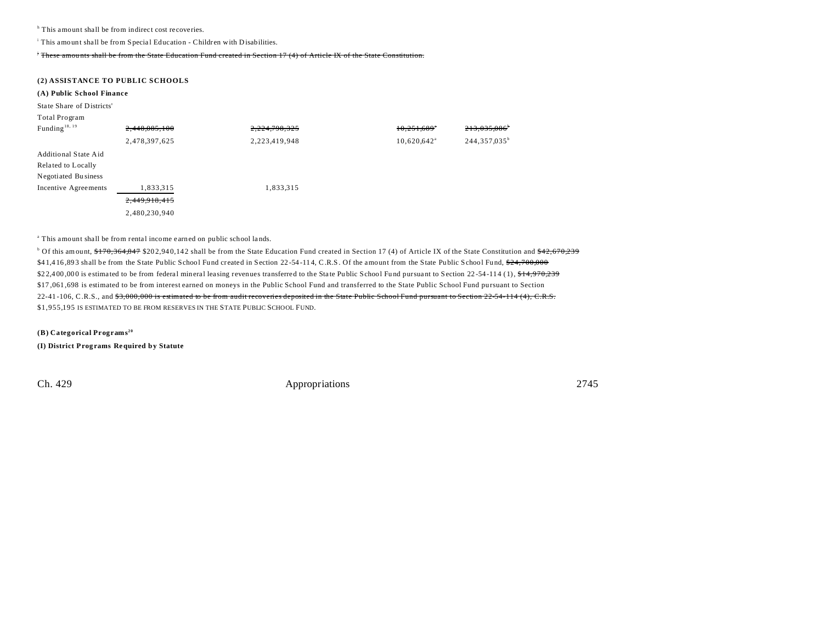<sup>h</sup> This amount shall be from indirect cost recoveries.

<sup>i</sup> This amount shall be from Special Education - Children with Disabilities.

<sup>j</sup> These amou nts shall be from the State Education Fund created in Section 17 (4) of Article IX of the State Constitution.

#### **(2) ASSISTANCE TO PUBLIC SCHOOLS**

### **(A) Public School Finance**

State Share of Districts'

| Total Program |  |
|---------------|--|
|---------------|--|

| Funding <sup>18, 19</sup> | 2,448,085,100 | 2,224,798,325 | $10,251,689$ <sup>*</sup> | 213,035,086                |
|---------------------------|---------------|---------------|---------------------------|----------------------------|
|                           | 2,478,397,625 | 2,223,419,948 | $10,620,642$ <sup>a</sup> | 244, 357, 035 <sup>b</sup> |
| Additional State Aid      |               |               |                           |                            |
| Related to Locally        |               |               |                           |                            |
| Negotiated Business       |               |               |                           |                            |
| Incentive Agreements      | 1,833,315     | 1,833,315     |                           |                            |
|                           | 2,449,918,415 |               |                           |                            |
|                           | 2,480,230,940 |               |                           |                            |

<sup>a</sup> This amount shall be from rental income earned on public school lands.

<sup>b</sup> Of this amount, \$170,364,847 \$202,940,142 shall be from the State Education Fund created in Section 17 (4) of Article IX of the State Constitution and \$42,670,239 \$41,416,893 shall be from the State Public School Fund created in Section 22-54-114, C.R.S. Of the amount from the State Public School Fund, \$24,700,000 \$22,400,000 is estimated to be from federal mineral leasing revenues transferred to the State Public School Fund pursuant to Section 22-54-114 (1), \$14,970,239  $$17,061,698$  is estimated to be from interest earned on moneys in the Public School Fund and transferred to the State Public School Fund pursuant to Section 22-41-106, C.R.S., and \$3,000,000 is estimated to be from audit recoveries deposited in the State Public School Fund pursuant to Section 22-54-114 (4), C.R.S. \$1,955,195 IS ESTIMATED TO BE FROM RESERVES IN THE STATE PUBLIC SCHOOL FUND.

**(B) Categorical Programs<sup>20</sup> (I) District Prog rams Required by Statute**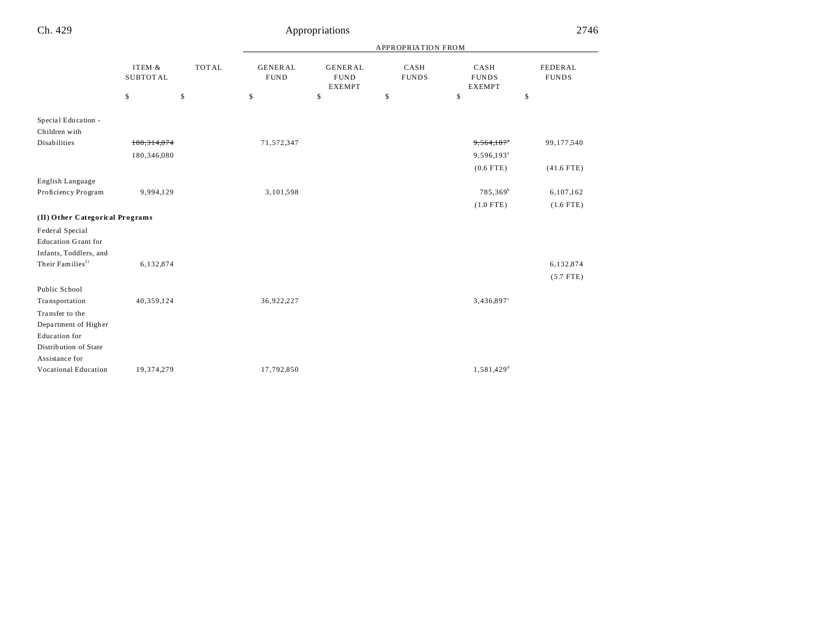# Appropriations 2746

|                                      |                           |              |                               |                                                |                      | <b>APPROPRIATION FROM</b>             |                                |  |  |  |
|--------------------------------------|---------------------------|--------------|-------------------------------|------------------------------------------------|----------------------|---------------------------------------|--------------------------------|--|--|--|
|                                      | ITEM &<br><b>SUBTOTAL</b> | <b>TOTAL</b> | <b>GENERAL</b><br><b>FUND</b> | <b>GENERAL</b><br><b>FUND</b><br><b>EXEMPT</b> | CASH<br><b>FUNDS</b> | CASH<br><b>FUNDS</b><br><b>EXEMPT</b> | <b>FEDERAL</b><br><b>FUNDS</b> |  |  |  |
|                                      | \$                        | \$           | \$                            | \$                                             | \$                   | \$                                    | \$                             |  |  |  |
| Special Education -<br>Children with |                           |              |                               |                                                |                      |                                       |                                |  |  |  |
| Disabilities                         | 180, 314, 074             |              | 71,572,347                    |                                                |                      | 9,564,187*                            | 99,177,540                     |  |  |  |
|                                      | 180,346,080               |              |                               |                                                |                      | 9,596,193 <sup>a</sup>                |                                |  |  |  |
|                                      |                           |              |                               |                                                |                      | $(0.6$ FTE)                           | $(41.6$ FTE)                   |  |  |  |
| English Language                     |                           |              |                               |                                                |                      |                                       |                                |  |  |  |
| Proficiency Program                  | 9,994,129                 |              | 3,101,598                     |                                                |                      | 785,369 <sup>b</sup>                  | 6,107,162                      |  |  |  |
|                                      |                           |              |                               |                                                |                      | $(1.0$ FTE)                           | $(1.6$ FTE)                    |  |  |  |
| (II) Other Categorical Programs      |                           |              |                               |                                                |                      |                                       |                                |  |  |  |
| Federal Special                      |                           |              |                               |                                                |                      |                                       |                                |  |  |  |
| <b>Education Grant for</b>           |                           |              |                               |                                                |                      |                                       |                                |  |  |  |
| Infants, Toddlers, and               |                           |              |                               |                                                |                      |                                       |                                |  |  |  |
| Their Families <sup>21</sup>         | 6,132,874                 |              |                               |                                                |                      |                                       | 6,132,874                      |  |  |  |
|                                      |                           |              |                               |                                                |                      |                                       | $(5.7$ FTE)                    |  |  |  |
| Public School                        |                           |              |                               |                                                |                      |                                       |                                |  |  |  |
| Transportation                       | 40,359,124                |              | 36,922,227                    |                                                |                      | 3,436,897°                            |                                |  |  |  |
| Transfer to the                      |                           |              |                               |                                                |                      |                                       |                                |  |  |  |
| Department of Higher                 |                           |              |                               |                                                |                      |                                       |                                |  |  |  |
| <b>Education</b> for                 |                           |              |                               |                                                |                      |                                       |                                |  |  |  |
| Distribution of State                |                           |              |                               |                                                |                      |                                       |                                |  |  |  |
| Assistance for                       |                           |              |                               |                                                |                      |                                       |                                |  |  |  |
| Vocational Education                 | 19,374,279                |              | 17,792,850                    |                                                |                      | $1,581,429$ <sup>d</sup>              |                                |  |  |  |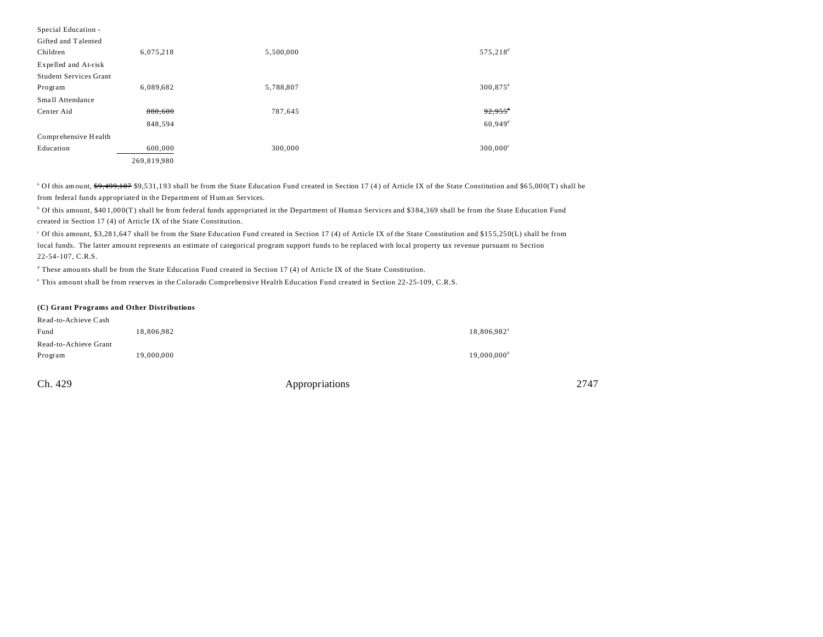| Special Education -    |             |           |                        |
|------------------------|-------------|-----------|------------------------|
| Gifted and Talented    |             |           |                        |
| Children               | 6,075,218   | 5,500,000 | 575,218 <sup>d</sup>   |
| Expelled and At-risk   |             |           |                        |
| Student Services Grant |             |           |                        |
| Program                | 6,089,682   | 5,788,807 | $300,875$ <sup>d</sup> |
| Small Attendance       |             |           |                        |
| Center Aid             | 880,600     | 787,645   | $92,955$ <sup>t</sup>  |
|                        | 848,594     |           | $60,949$ <sup>d</sup>  |
| Comprehensive Health   |             |           |                        |
| Education              | 600,000     | 300,000   | $300,000^{\circ}$      |
|                        | 269,819,980 |           |                        |

<sup>a</sup> Of this amount, \$9,499,187 \$9,531,193 shall be from the State Education Fund created in Section 17 (4) of Article IX of the State Constitution and \$65,000(T) shall be from federal funds appropriated in the Department of Human Services.

<sup>b</sup> Of this amount, \$401,000(T) shall be from federal funds appropriated in the Department of Human Services and \$384,369 shall be from the State Education Fund created in Section 17 (4) of Article IX of the State Constitution.

<sup>c</sup> Of this amount, \$3,281,647 shall be from the State Education Fund created in Section 17 (4) of Article IX of the State Constitution and \$155,250(L) shall be from local funds. The latter amou nt represents an estimate of categorical program support funds to be replaced with local property tax revenue pursuant to Section 22-54-107, C.R.S.

<sup>d</sup> These amounts shall be from the State Education Fund created in Section 17 (4) of Article IX of the State Constitution.

e This amount shall be from reserves in the Colorado Comprehensive Health Education Fund created in Section 22-25-109, C.R.S.

#### **(C) Grant Programs and Other Distributions**

| Read-to-Achieve Cash  |            |                         |
|-----------------------|------------|-------------------------|
| Fund                  | 18.806.982 | 18,806,982 <sup>a</sup> |
| Read-to-Achieve Grant |            |                         |
| Program               | 19,000,000 | $19,000,000^{\circ}$    |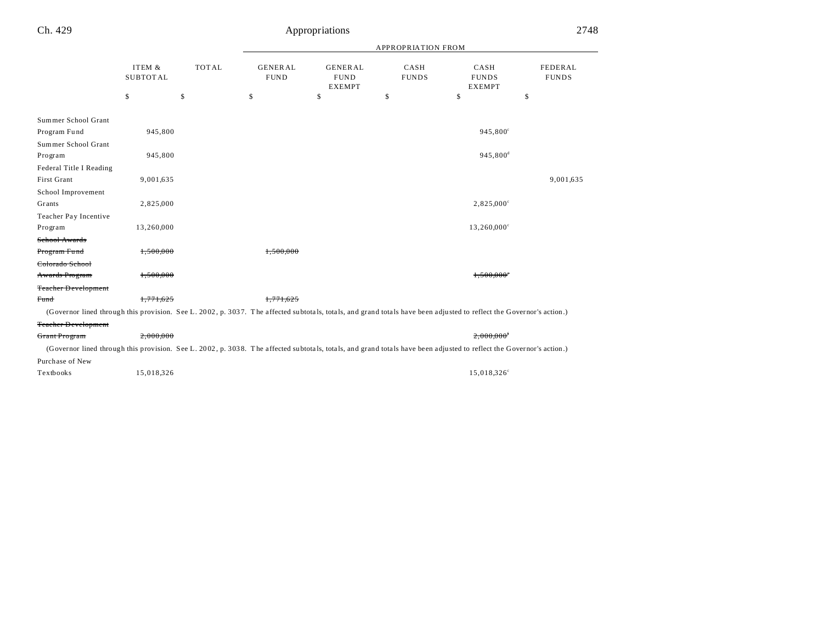|                            | ITEM &<br><b>SUBTOTAL</b> | <b>TOTAL</b> | <b>GENERAL</b><br><b>FUND</b> | <b>GENERAL</b><br><b>FUND</b><br><b>EXEMPT</b> | CASH<br><b>FUNDS</b> | CASH<br><b>FUNDS</b><br><b>EXEMPT</b>                                                                                                                                | FEDERAL<br><b>FUNDS</b> |
|----------------------------|---------------------------|--------------|-------------------------------|------------------------------------------------|----------------------|----------------------------------------------------------------------------------------------------------------------------------------------------------------------|-------------------------|
|                            | \$                        | \$           | \$                            | \$                                             | \$                   | \$                                                                                                                                                                   | \$                      |
| Summer School Grant        |                           |              |                               |                                                |                      |                                                                                                                                                                      |                         |
| Program Fund               | 945,800                   |              |                               |                                                |                      | 945,800°                                                                                                                                                             |                         |
| Summer School Grant        |                           |              |                               |                                                |                      |                                                                                                                                                                      |                         |
| Program                    | 945,800                   |              |                               |                                                |                      | 945,800 <sup>d</sup>                                                                                                                                                 |                         |
| Federal Title I Reading    |                           |              |                               |                                                |                      |                                                                                                                                                                      |                         |
| First Grant                | 9,001,635                 |              |                               |                                                |                      |                                                                                                                                                                      | 9,001,635               |
| School Improvement         |                           |              |                               |                                                |                      |                                                                                                                                                                      |                         |
| Grants                     | 2,825,000                 |              |                               |                                                |                      | $2,825,000^{\circ}$                                                                                                                                                  |                         |
| Teacher Pay Incentive      |                           |              |                               |                                                |                      |                                                                                                                                                                      |                         |
| Program                    | 13,260,000                |              |                               |                                                |                      | $13,260,000^{\circ}$                                                                                                                                                 |                         |
| School Awards              |                           |              |                               |                                                |                      |                                                                                                                                                                      |                         |
| Program Fund               | 1,500,000                 |              | 1.500.000                     |                                                |                      |                                                                                                                                                                      |                         |
| Colorado School            |                           |              |                               |                                                |                      |                                                                                                                                                                      |                         |
| Awards Program             | 1,500,000                 |              |                               |                                                |                      | $1.500.000$ <sup>c</sup>                                                                                                                                             |                         |
| <b>Teacher Development</b> |                           |              |                               |                                                |                      |                                                                                                                                                                      |                         |
| Fund                       | 1,771,625                 |              | 1,771,625                     |                                                |                      |                                                                                                                                                                      |                         |
|                            |                           |              |                               |                                                |                      | (Governor lined through this provision. See L. 2002, p. 3037. The affected subtotals, totals, and grand totals have been adjusted to reflect the Governor's action.) |                         |
| <b>Teacher Development</b> |                           |              |                               |                                                |                      |                                                                                                                                                                      |                         |
| Grant Program              | 2.000.000                 |              |                               |                                                |                      | 2,000,000                                                                                                                                                            |                         |
|                            |                           |              |                               |                                                |                      | (Governor lined through this provision. See L. 2002, p. 3038. The affected subtotals, totals, and grand totals have been adjusted to reflect the Governor's action.) |                         |
| Purchase of New            |                           |              |                               |                                                |                      |                                                                                                                                                                      |                         |
| Textbooks                  | 15,018,326                |              |                               |                                                |                      | 15,018,326 <sup>c</sup>                                                                                                                                              |                         |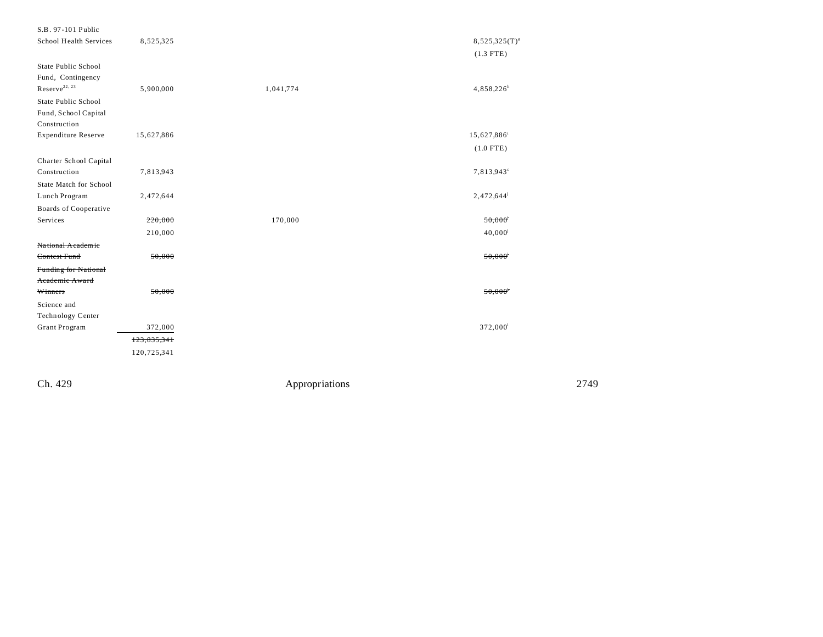| S.B. 97-101 Public            |             |           |                                   |
|-------------------------------|-------------|-----------|-----------------------------------|
| School Health Services        | 8,525,325   |           | $8,525,325(T)^{g}$<br>$(1.3$ FTE) |
| State Public School           |             |           |                                   |
| Fund, Contingency             |             |           |                                   |
| $\mbox{Reserve}^{22,\,23}$    | 5,900,000   | 1,041,774 | 4,858,226 <sup>h</sup>            |
| State Public School           |             |           |                                   |
| Fund, School Capital          |             |           |                                   |
| Construction                  |             |           |                                   |
| <b>Expenditure Reserve</b>    | 15,627,886  |           | 15,627,886                        |
|                               |             |           | $(1.0$ FTE)                       |
| Charter School Capital        |             |           |                                   |
| Construction                  | 7,813,943   |           | 7,813,943 <sup>c</sup>            |
| <b>State Match for School</b> |             |           |                                   |
| Lunch Program                 | 2,472,644   |           | $2,472,644^{\circ}$               |
| Boards of Cooperative         |             |           |                                   |
| Services                      | 220,000     | 170,000   | 50,000                            |
|                               | 210,000     |           | $40,000^{i}$                      |
| National Academic             |             |           |                                   |
| Contest Fund                  | 50,000      |           | 50,000                            |
| Funding for National          |             |           |                                   |
| Academic Award                |             |           |                                   |
| Winners                       | 50,000      |           | 50,000                            |
| Science and                   |             |           |                                   |
| Technology Center             |             |           |                                   |
| Grant Program                 | 372,000     |           | 372,000 <sup>1</sup>              |
|                               | 123,835,341 |           |                                   |
|                               | 120,725,341 |           |                                   |
|                               |             |           |                                   |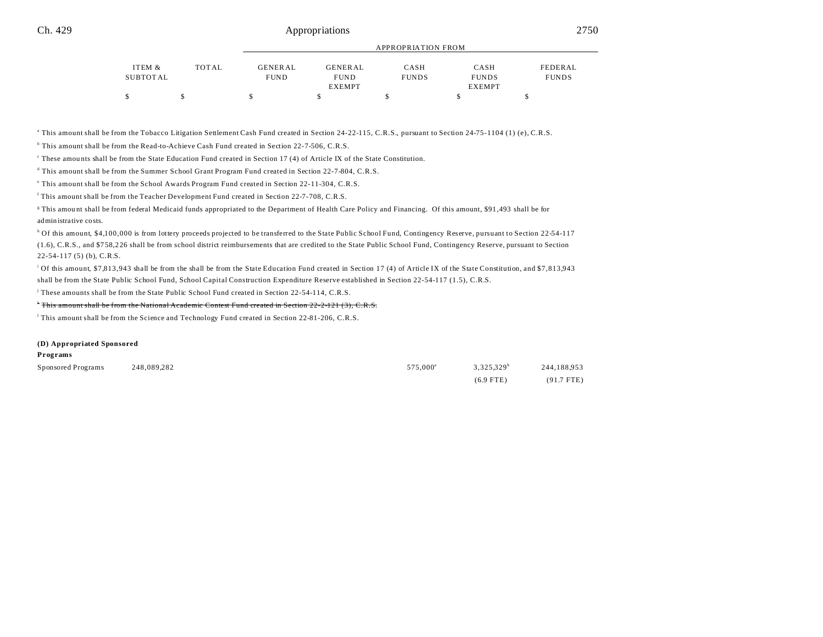|          |       |             |                | <b>APPROPRIATION FROM</b> |               |              |
|----------|-------|-------------|----------------|---------------------------|---------------|--------------|
| ITEM &   | TOTAL | GENERAL     | <b>GENERAL</b> | CASH                      | CASH          | FEDERAL      |
| SUBTOTAL |       | <b>FUND</b> | <b>FUND</b>    | <b>FUNDS</b>              | <b>FUNDS</b>  | <b>FUNDS</b> |
|          |       |             | <b>EXEMPT</b>  |                           | <b>EXEMPT</b> |              |
|          |       |             |                |                           |               |              |

<sup>a</sup> This amount shall be from the Tobacco Litigation Settlement Cash Fund created in Section 24-22-115, C.R.S., pursuant to Section 24-75-1104 (1) (e), C.R.S.

<sup>b</sup> This amount shall be from the Read-to-Achieve Cash Fund created in Section 22-7-506, C.R.S.

These amounts shall be from the State Education Fund created in Section 17 (4) of Article IX of the State Constitution.

d This amount shall be from the Summer School Grant Program Fund created in Section 22-7-804, C.R.S.

e This amount shall be from the School Awards Program Fund created in Section 22-11-304, C.R.S.

f This amount shall be from the Teacher Development Fund created in Section 22-7-708, C.R.S.

This amount shall be from federal Medicaid funds appropriated to the Department of Health Care Policy and Financing. Of this amount, \$91,493 shall be for administrative costs.

<sup>h</sup> Of this amount, \$4,100,000 is from lottery proceeds projected to be transferred to the State Public School Fund, Contingency Reserve, pursuant to Section 22-54-117 (1.6), C.R.S., and \$7 58,2 26 shall be from school district reimbursements that are credited to the State Public School Fund, Contingency Reserve, pursuant to Section 22-54-117 (5) (b), C.R.S.

i Of this amount, \$7,813,943 shall be from the shall be from the State Education Fund created in Section 17 (4) of Article IX of the State Constitution, and \$7,813,943 shall be from the State Public School Fund, School Capital Construction Expenditure Reserve established in Section 22-54-117 (1.5), C.R.S.

j These amounts shall be from the State Public School Fund created in Section 22-54-114, C.R.S.

\* This amount shall be from the National Academic Contest Fund created in Section 22-2-121 (3), C.R.S.

l This amount shall be from the Science and Technology Fund created in Section 22-81-206, C.R.S.

#### **(D) Appropriated Sponsored**

#### **Programs**

| Sponsored Programs | 248.089.282 | 575,000 <sup>a</sup> | $3.325.329^b$ | 244,188,953  |
|--------------------|-------------|----------------------|---------------|--------------|
|                    |             |                      | $(6.9$ FTE)   | $(91.7$ FTE) |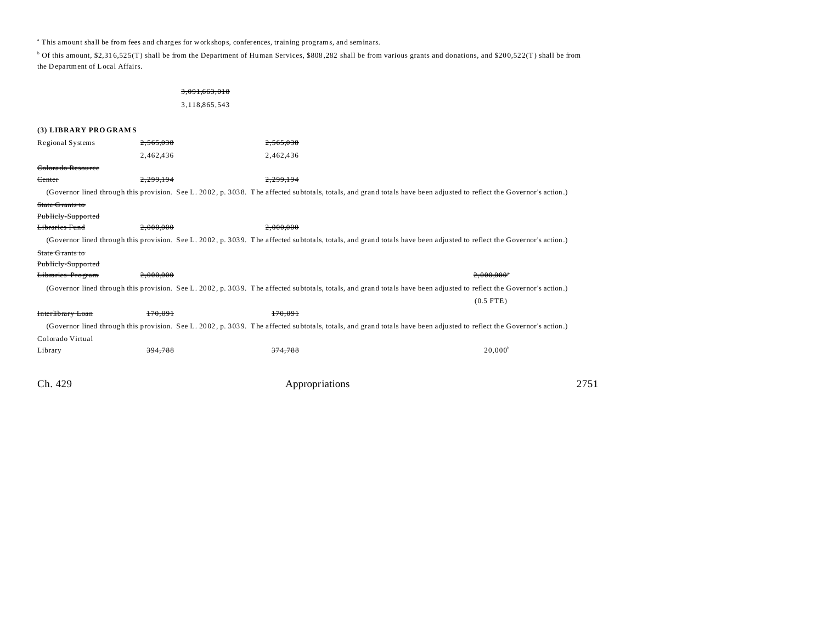<sup>a</sup> This amount shall be from fees and charges for work shops, conferences, training programs, and seminars.

<sup>b</sup> Of this amount, \$2,316,525(T) shall be from the Department of Human Services, \$808,282 shall be from various grants and donations, and \$200,522(T) shall be from the D epartment of Local Affairs.

## 3,091,663,018 3,118,865,543

| (3) LIBRARY PROGRAMS         |           |                                                                                                                                                                      |                          |      |
|------------------------------|-----------|----------------------------------------------------------------------------------------------------------------------------------------------------------------------|--------------------------|------|
| Regional Systems             | 2,565,038 | 565.038                                                                                                                                                              |                          |      |
|                              | 2,462,436 | 2,462,436                                                                                                                                                            |                          |      |
| <del>Colorado Resource</del> |           |                                                                                                                                                                      |                          |      |
| Center                       | 2,299,194 | 2,299,194                                                                                                                                                            |                          |      |
|                              |           | (Governor lined through this provision. See L. 2002, p. 3038. The affected subtotals, totals, and grand totals have been adjusted to reflect the Governor's action.) |                          |      |
| State Grants to              |           |                                                                                                                                                                      |                          |      |
| Publicly-Supported           |           |                                                                                                                                                                      |                          |      |
| Libraries Fund               | 2.000.000 | 2.000.000                                                                                                                                                            |                          |      |
|                              |           | (Governor lined through this provision. See L. 2002, p. 3039. The affected subtotals, totals, and grand totals have been adjusted to reflect the Governor's action.) |                          |      |
| State Grants to              |           |                                                                                                                                                                      |                          |      |
| Publicly-Supported           |           |                                                                                                                                                                      |                          |      |
| Libraries Program            | 2.000.000 |                                                                                                                                                                      | $2.000.000$ <sup>*</sup> |      |
|                              |           | (Governor lined through this provision. See L. 2002, p. 3039. The affected subtotals, totals, and grand totals have been adjusted to reflect the Governor's action.) |                          |      |
|                              |           |                                                                                                                                                                      | $(0.5$ FTE)              |      |
| Interlibrary Loan            | 170,091   | 170.091                                                                                                                                                              |                          |      |
|                              |           | (Governor lined through this provision. See L. 2002, p. 3039. The affected subtotals, totals, and grand totals have been adjusted to reflect the Governor's action.) |                          |      |
| Colorado Virtual             |           |                                                                                                                                                                      |                          |      |
| Library                      | 394.788   | 374.788                                                                                                                                                              | $20,000^{\circ}$         |      |
|                              |           |                                                                                                                                                                      |                          |      |
| Ch. 429                      |           | Appropriations                                                                                                                                                       |                          | 2751 |
|                              |           |                                                                                                                                                                      |                          |      |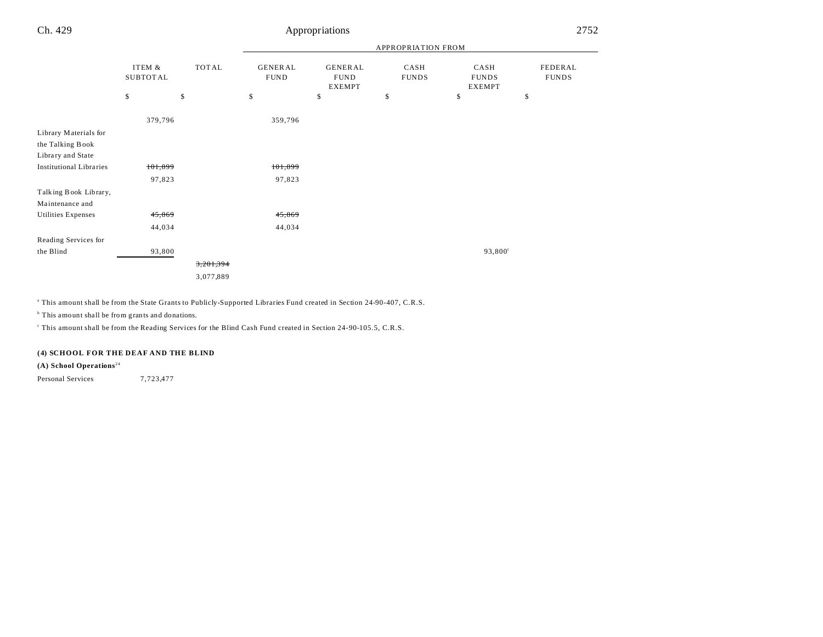# Ch. 429 Appropriations 2752

|                                                                |                    |           | APPROPRIATION FROM            |                                         |                      |                                       |                         |
|----------------------------------------------------------------|--------------------|-----------|-------------------------------|-----------------------------------------|----------------------|---------------------------------------|-------------------------|
|                                                                | ITEM &<br>SUBTOTAL | TOTAL     | <b>GENERAL</b><br><b>FUND</b> | GENERAL<br><b>FUND</b><br><b>EXEMPT</b> | CASH<br><b>FUNDS</b> | CASH<br><b>FUNDS</b><br><b>EXEMPT</b> | FEDERAL<br><b>FUNDS</b> |
|                                                                | \$                 | \$        | \$                            | \$                                      | \$                   | \$                                    | \$                      |
|                                                                | 379,796            |           | 359,796                       |                                         |                      |                                       |                         |
| Library Materials for<br>the Talking Book<br>Library and State |                    |           |                               |                                         |                      |                                       |                         |
| <b>Institutional Libraries</b>                                 | 101,899            |           | 101,899                       |                                         |                      |                                       |                         |
|                                                                | 97,823             |           | 97,823                        |                                         |                      |                                       |                         |
| Talking Book Library,<br>Maintenance and                       |                    |           |                               |                                         |                      |                                       |                         |
| Utilities Expenses                                             | 45,869             |           | 45,869                        |                                         |                      |                                       |                         |
|                                                                | 44,034             |           | 44,034                        |                                         |                      |                                       |                         |
| Reading Services for                                           |                    |           |                               |                                         |                      |                                       |                         |
| the Blind                                                      | 93,800             |           |                               |                                         |                      | $93,800^{\circ}$                      |                         |
|                                                                |                    | 3,201,394 |                               |                                         |                      |                                       |                         |
|                                                                |                    | 3,077,889 |                               |                                         |                      |                                       |                         |

a This amount shall be from the State Grants to Publicly-Supported Libraries Fund created in Section 24-90-407, C.R.S.

<sup>b</sup> This amount shall be from grants and donations.

This amount shall be from the Reading Services for the Blind Cash Fund created in Section 24-90-105.5, C.R.S.

## **(4) SCHOOL FOR THE DEAF AND THE BLIND**

**(A) School Operations** <sup>24</sup>

Personal Services 7,723,477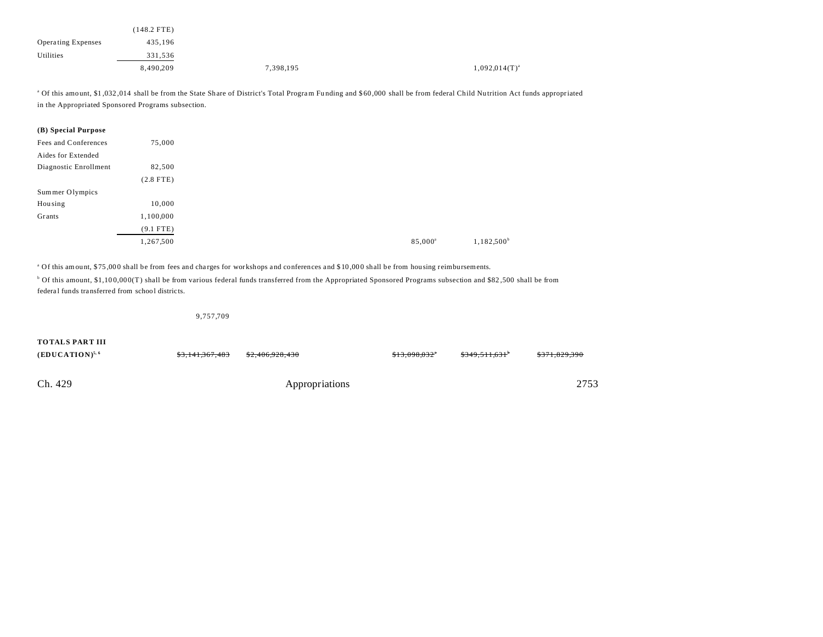|                           | (148.2 FTE) |           |                    |
|---------------------------|-------------|-----------|--------------------|
| <b>Operating Expenses</b> | 435,196     |           |                    |
| Utilities                 | 331,536     |           |                    |
|                           | 8,490,209   | 7,398,195 | $1,092,014(T)^{a}$ |

<sup>a</sup> Of this amount, \$1,032,014 shall be from the State Share of District's Total Program Funding and \$60,000 shall be from federal Child Nutrition Act funds appropriated in the Appropriated Sponsored Programs subsection.

| (B) Special Purpose   |             |
|-----------------------|-------------|
| Fees and Conferences  | 75,000      |
| Aides for Extended    |             |
| Diagnostic Enrollment | 82,500      |
|                       | $(2.8$ FTE) |
| Sum mer Olympics      |             |
| Housing               | 10,000      |
| Grants                | 1,100,000   |
|                       | $(9.1$ FTE) |
|                       | 1,267,500   |

<sup>a</sup> Of this amount, \$75,000 shall be from fees and charges for workshops and conferences and \$10,000 shall be from hou sing reimbursements.

<sup>b</sup> Of this amount, \$1,100,000(T) shall be from various federal funds transferred from the Appropriated Sponsored Programs subsection and \$82,500 shall be from federa l funds transferred from school districts.

9,757,709

### **TOTALS PART III**

| $(EDUCATION)^{5, 6}$ | <del>\$3,141,367,483</del> | <del>\$2,406,928,430</del> | \$13,098,032* | $$349.511.631$ <sup>*</sup> | \$371,829,390 |
|----------------------|----------------------------|----------------------------|---------------|-----------------------------|---------------|
| Ch. 429              |                            | Appropriations             |               |                             | 2753          |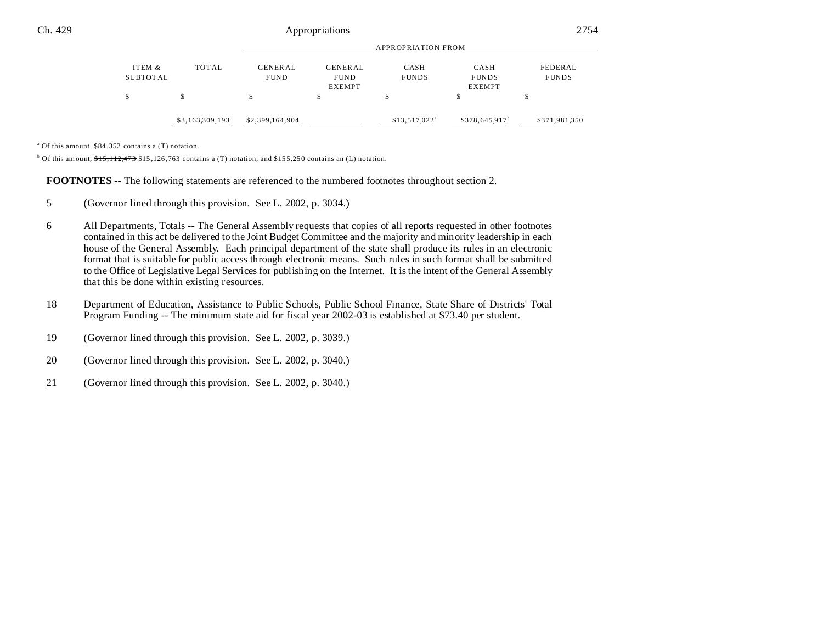|          | \$3,163,309,193 | \$2,399,164,904    |                | $$13,517,022$ <sup>a</sup> | $$378,645.917^b$ | \$371,981,350 |  |  |
|----------|-----------------|--------------------|----------------|----------------------------|------------------|---------------|--|--|
|          |                 |                    |                |                            |                  |               |  |  |
|          |                 |                    | <b>EXEMPT</b>  |                            | <b>EXEMPT</b>    |               |  |  |
| SUBTOTAL |                 | <b>FUND</b>        | <b>FUND</b>    | <b>FUNDS</b>               | <b>FUNDS</b>     | <b>FUNDS</b>  |  |  |
| ITEM &   | TOTAL           | GENERAL            | <b>GENERAL</b> | CASH                       | CASH             | FEDERAL       |  |  |
|          |                 |                    |                |                            |                  |               |  |  |
|          |                 | APPROPRIATION FROM |                |                            |                  |               |  |  |

a Of this amount, \$84 ,352 contains a (T) notation.

<sup>b</sup> Of this amount,  $\frac{1515}{112,473}$  \$15,126,763 contains a (T) notation, and \$155,250 contains an (L) notation.

**FOOTNOTES** -- The following statements are referenced to the numbered footnotes throughout section 2.

- 5 (Governor lined through this provision. See L. 2002, p. 3034.)
- 6 All Departments, Totals -- The General Assembly requests that copies of all reports requested in other footnotes contained in this act be delivered to the Joint Budget Committee and the majority and minority leadership in each house of the General Assembly. Each principal department of the state shall produce its rules in an electronic format that is suitable for public access through electronic means. Such rules in such format shall be submitted to the Office of Legislative Legal Services for publishing on the Internet. It is the intent of the General Assembly that this be done within existing resources.
- 18 Department of Education, Assistance to Public Schools, Public School Finance, State Share of Districts' Total Program Funding -- The minimum state aid for fiscal year 2002-03 is established at \$73.40 per student.
- 19 (Governor lined through this provision. See L. 2002, p. 3039.)
- 20 (Governor lined through this provision. See L. 2002, p. 3040.)
- 21 (Governor lined through this provision. See L. 2002, p. 3040.)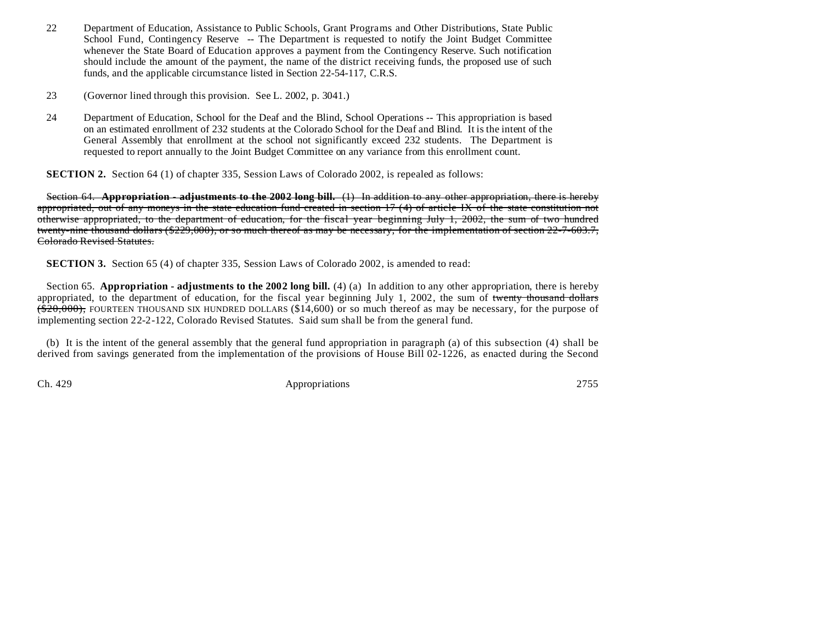- 22 Department of Education, Assistance to Public Schools, Grant Programs and Other Distributions, State Public School Fund, Contingency Reserve -- The Department is requested to notify the Joint Budget Committee whenever the State Board of Education approves a payment from the Contingency Reserve. Such notification should include the amount of the payment, the name of the district receiving funds, the proposed use of such funds, and the applicable circumstance listed in Section 22-54-117, C.R.S.
- 23 (Governor lined through this provision. See L. 2002, p. 3041.)
- 24 Department of Education, School for the Deaf and the Blind, School Operations -- This appropriation is based on an estimated enrollment of 232 students at the Colorado School for the Deaf and Blind. It is the intent of the General Assembly that enrollment at the school not significantly exceed 232 students. The Department is requested to report annually to the Joint Budget Committee on any variance from this enrollment count.

**SECTION 2.** Section 64 (1) of chapter 335, Session Laws of Colorado 2002, is repealed as follows:

Section 64. **Appropriation - adjustments to the 2002 long bill.** (1) In addition to any other appropriation, there is hereby appropriated, out of any moneys in the state education fund created in section 17 (4) of article IX of the state constitution not otherwise appropriated, to the department of education, for the fiscal year beginning July 1, 2002, the sum of two hundred twenty-nine thousand dollars (\$229,000), or so much thereof as may be necessary, for the implementation of section 22-7-603.7, Colorado Revised Statutes.

**SECTION 3.** Section 65 (4) of chapter 335, Session Laws of Colorado 2002, is amended to read:

Section 65. **Appropriation - adjustments to the 2002 long bill.** (4) (a) In addition to any other appropriation, there is hereby appropriated, to the department of education, for the fiscal year beginning July 1, 2002, the sum of twenty thousand dollars  $(20,000)$ , FOURTEEN THOUSAND SIX HUNDRED DOLLARS (\$14,600) or so much thereof as may be necessary, for the purpose of implementing section 22-2-122, Colorado Revised Statutes. Said sum shall be from the general fund.

(b) It is the intent of the general assembly that the general fund appropriation in paragraph (a) of this subsection (4) shall be derived from savings generated from the implementation of the provisions of House Bill 02-1226, as enacted during the Second